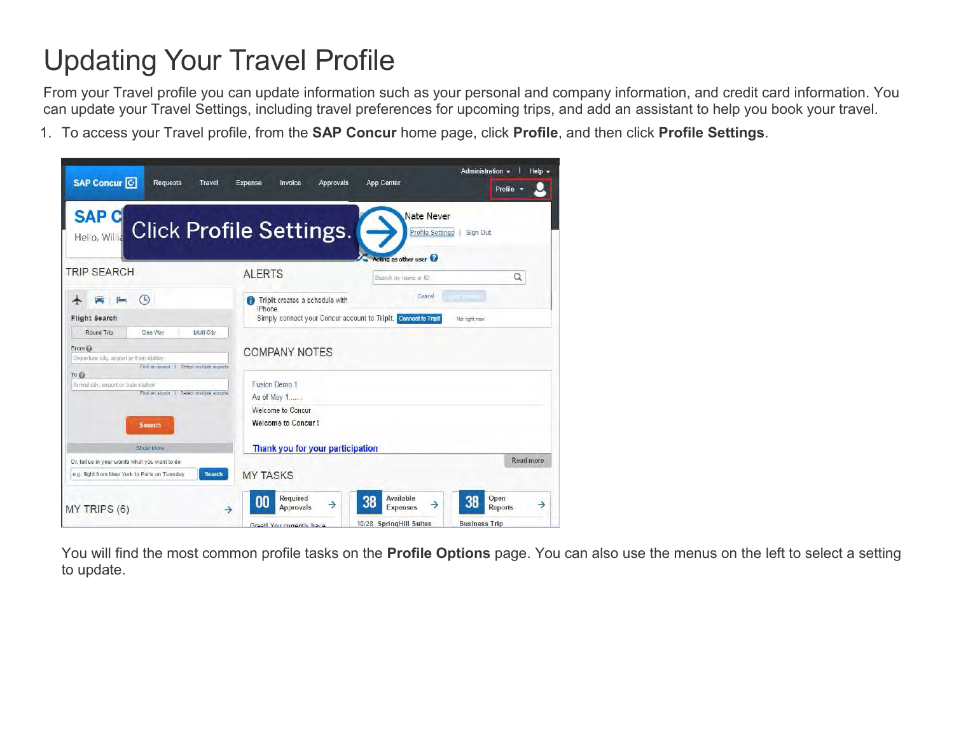## Updating Your Travel Profile

From your Travel profile you can update information such as your personal and company information, and credit card information. You can update your Travel Settings, including travel preferences for upcoming trips, and add an assistant to help you book your travel.

1. To access your Travel profile, from the **SAP Concur** home page, click **Profile**, and then click **Profile Settings**.



You will find the most common profile tasks on the **Profile Options** page. You can also use the menus on the left to select a setting to update.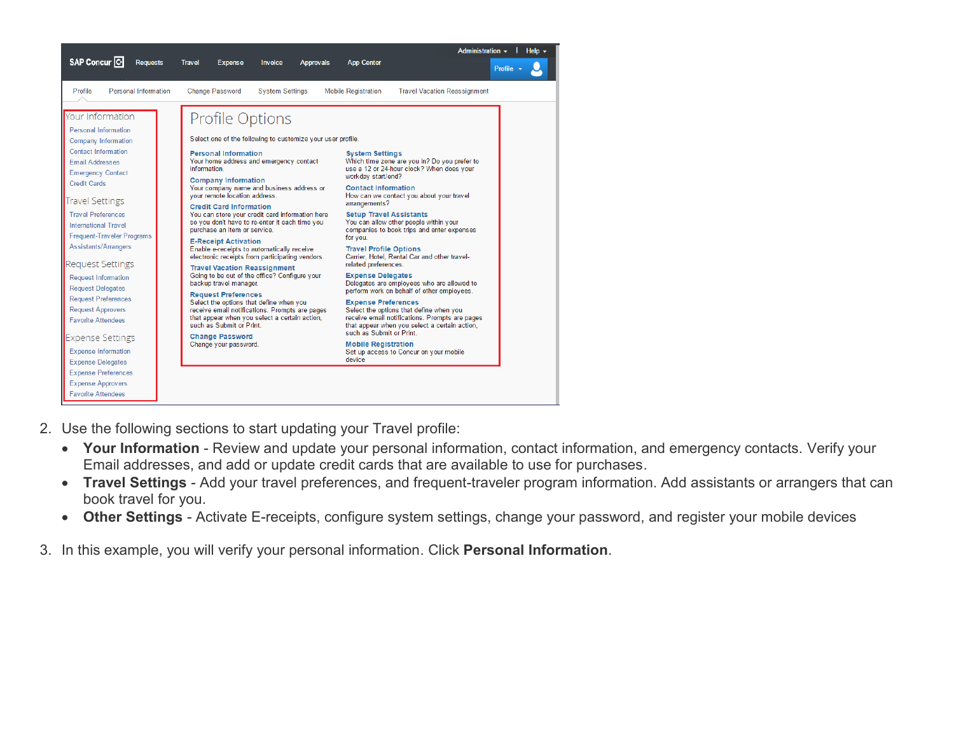|                                                                                                                                                                                                                                                                                                                                                                                                                                                                                                                                                                                                                                                                                                     |                                                                                                                                                                                                                                                                                                                                                                                                                    |                                                                                                                                                                                                                                                                                                                                                                                                                                                                                                                                                          |                                                                                                                                                                                                                                                                                                                                  | Administration $\overline{\phantom{a}}$<br>Help $\sim$                                                                                                                                                                                                                                                                                                                                                                                                                                                                                                            |
|-----------------------------------------------------------------------------------------------------------------------------------------------------------------------------------------------------------------------------------------------------------------------------------------------------------------------------------------------------------------------------------------------------------------------------------------------------------------------------------------------------------------------------------------------------------------------------------------------------------------------------------------------------------------------------------------------------|--------------------------------------------------------------------------------------------------------------------------------------------------------------------------------------------------------------------------------------------------------------------------------------------------------------------------------------------------------------------------------------------------------------------|----------------------------------------------------------------------------------------------------------------------------------------------------------------------------------------------------------------------------------------------------------------------------------------------------------------------------------------------------------------------------------------------------------------------------------------------------------------------------------------------------------------------------------------------------------|----------------------------------------------------------------------------------------------------------------------------------------------------------------------------------------------------------------------------------------------------------------------------------------------------------------------------------|-------------------------------------------------------------------------------------------------------------------------------------------------------------------------------------------------------------------------------------------------------------------------------------------------------------------------------------------------------------------------------------------------------------------------------------------------------------------------------------------------------------------------------------------------------------------|
| SAP Concur <sup>C</sup><br><b>Requests</b>                                                                                                                                                                                                                                                                                                                                                                                                                                                                                                                                                                                                                                                          | <b>Travel</b><br><b>Expense</b>                                                                                                                                                                                                                                                                                                                                                                                    | <b>Invoice</b><br><b>Approvals</b>                                                                                                                                                                                                                                                                                                                                                                                                                                                                                                                       | <b>App Center</b>                                                                                                                                                                                                                                                                                                                | Profile +                                                                                                                                                                                                                                                                                                                                                                                                                                                                                                                                                         |
| Personal Information<br>Profile                                                                                                                                                                                                                                                                                                                                                                                                                                                                                                                                                                                                                                                                     | <b>Change Password</b>                                                                                                                                                                                                                                                                                                                                                                                             | <b>System Settings</b>                                                                                                                                                                                                                                                                                                                                                                                                                                                                                                                                   | <b>Mobile Registration</b>                                                                                                                                                                                                                                                                                                       | <b>Travel Vacation Reassignment</b>                                                                                                                                                                                                                                                                                                                                                                                                                                                                                                                               |
| Your Information<br><b>Personal Information</b><br><b>Company Information</b><br><b>Contact Information</b><br><b>Email Addresses</b><br><b>Emergency Contact</b><br><b>Credit Cards</b><br><b>Travel Settings</b><br><b>Travel Preferences</b><br><b>International Travel</b><br><b>Frequent-Traveler Programs</b><br>Assistants/Arrangers<br><b>Request Settings</b><br><b>Request Information</b><br><b>Request Delegates</b><br><b>Request Preferences</b><br><b>Request Approvers</b><br><b>Favorite Attendees</b><br><b>Expense Settings</b><br><b>Expense Information</b><br><b>Expense Delegates</b><br><b>Expense Preferences</b><br><b>Expense Approvers</b><br><b>Favorite Attendees</b> | <b>Profile Options</b><br><b>Personal Information</b><br>information.<br><b>Company Information</b><br>vour remote location address.<br><b>Credit Card Information</b><br>purchase an item or service.<br><b>E-Receipt Activation</b><br><b>Travel Vacation Reassignment</b><br>backup travel manager.<br><b>Request Preferences</b><br>such as Submit or Print<br><b>Change Password</b><br>Change your password. | Select one of the following to customize your user profile.<br>Your home address and emergency contact<br>Your company name and business address or<br>You can store your credit card information here<br>so you don't have to re-enter it each time you<br>Enable e-receipts to automatically receive<br>electronic receipts from participating vendors.<br>Going to be out of the office? Configure your<br>Select the options that define when you<br>receive email notifications. Prompts are pages<br>that appear when you select a certain action, | <b>System Settings</b><br>workday start/end?<br><b>Contact Information</b><br>arrangements?<br><b>Setup Travel Assistants</b><br>for you.<br><b>Travel Profile Options</b><br>related preferences.<br><b>Expense Delegates</b><br><b>Expense Preferences</b><br>such as Submit or Print.<br><b>Mobile Registration</b><br>device | Which time zone are you in? Do you prefer to<br>use a 12 or 24-hour clock? When does your<br>How can we contact you about your travel<br>You can allow other people within your<br>companies to book trips and enter expenses<br>Carrier, Hotel, Rental Car and other travel-<br>Delegates are employees who are allowed to<br>perform work on behalf of other employees.<br>Select the options that define when you<br>receive email notifications. Prompts are pages<br>that appear when you select a certain action,<br>Set up access to Concur on your mobile |

- 2. Use the following sections to start updating your Travel profile:
	- **Your Information** Review and update your personal information, contact information, and emergency contacts. Verify your Email addresses, and add or update credit cards that are available to use for purchases.
	- **Travel Settings** Add your travel preferences, and frequent-traveler program information. Add assistants or arrangers that can book travel for you.
	- **Other Settings**  Activate E-receipts, configure system settings, change your password, and register your mobile devices
- 3. In this example, you will verify your personal information. Click **Personal Information**.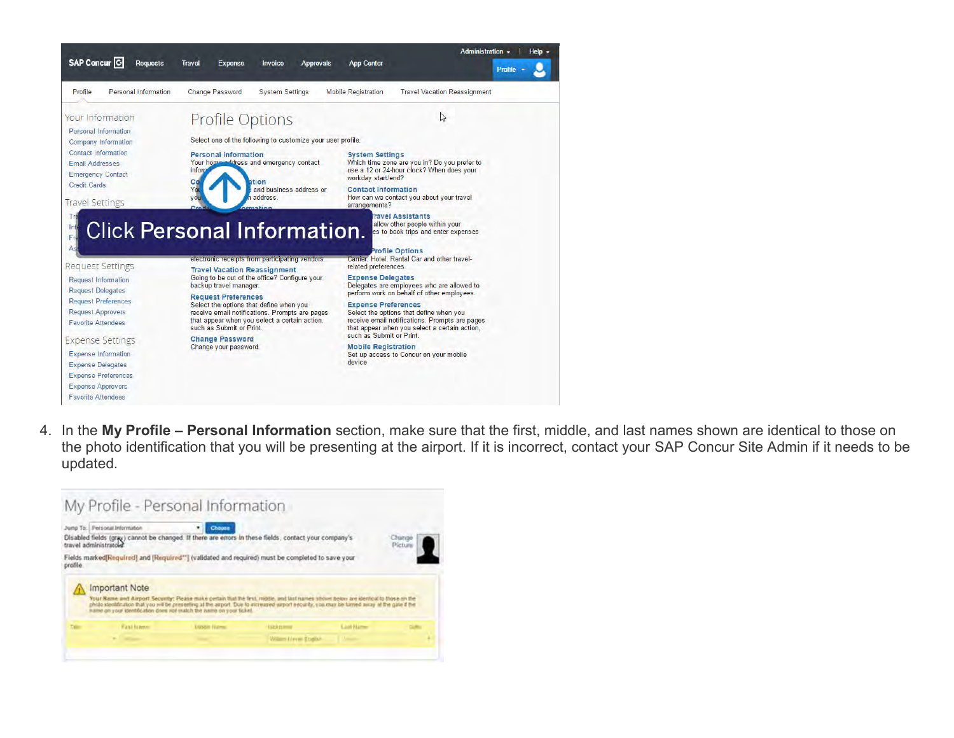

4. In the **My Profile – Personal Information** section, make sure that the first, middle, and last names shown are identical to those on the photo identification that you will be presenting at the airport. If it is incorrect, contact your SAP Concur Site Admin if it needs to be updated.

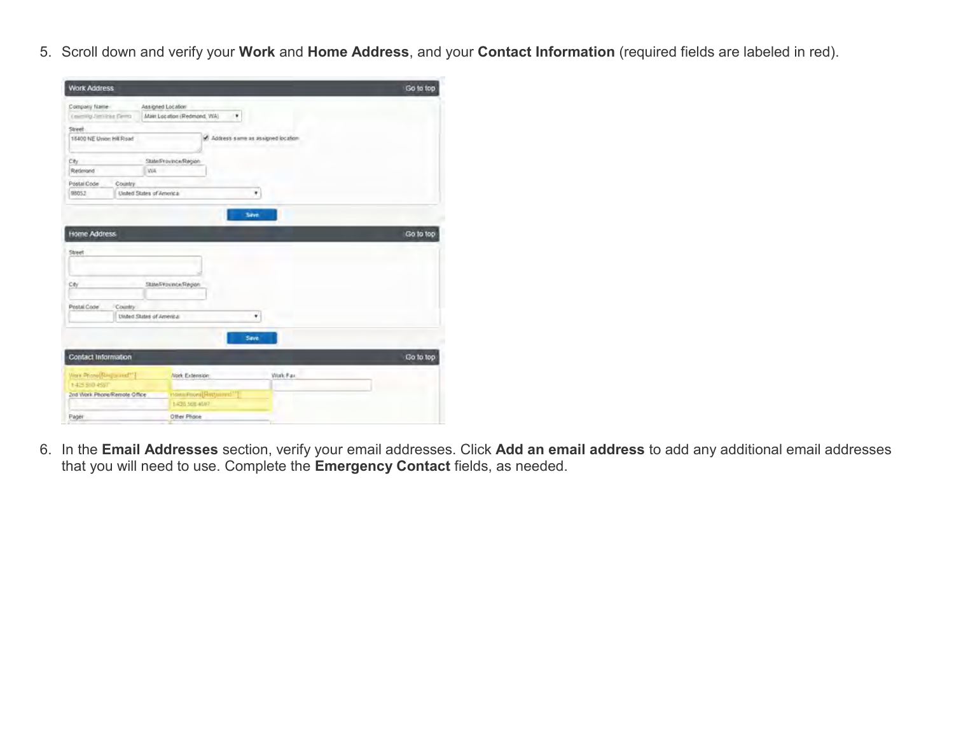5. Scroll down and verify your **Work** and **Home Address**, and your **Contact Information** (required fields are labeled in red).

| <b>Work Address</b>        |                              |                                   |                  | Go to top |
|----------------------------|------------------------------|-----------------------------------|------------------|-----------|
| Company fixene             |                              | Assigned Location                 |                  |           |
| Counting Janviews Derma    |                              | Main Location (Redmond, WA)<br>٠  |                  |           |
| Street                     |                              |                                   |                  |           |
| 15400 NE Union Hill Road   |                              | Address same as assigned location |                  |           |
| City                       |                              | State/Province/Region             |                  |           |
| Retimised                  | WA -                         |                                   |                  |           |
| Póstal Code                | Country.                     |                                   |                  |           |
| 98052                      | United States of America     |                                   | ٠                |           |
| City                       |                              | State/Pounce/Region               |                  |           |
| Postal Code                | Country.                     |                                   |                  |           |
|                            | Unled States of America      |                                   | ۳                |           |
|                            |                              |                                   |                  |           |
|                            |                              | Save                              |                  |           |
| <b>Contact Information</b> |                              |                                   |                  | Go to top |
| Ware Phone Required"       |                              | Nork Extension                    | <b>Visit-Fax</b> |           |
| 1425504507                 |                              |                                   |                  |           |
|                            | 2nd Work Phone/Remote Office | Holts Prova [Required."]          |                  |           |
|                            |                              |                                   |                  |           |
| Pager                      |                              | 1-425.508.4507<br>Other Phone     |                  |           |

6. In the **Email Addresses** section, verify your email addresses. Click **Add an email address** to add any additional email addresses that you will need to use. Complete the **Emergency Contact** fields, as needed.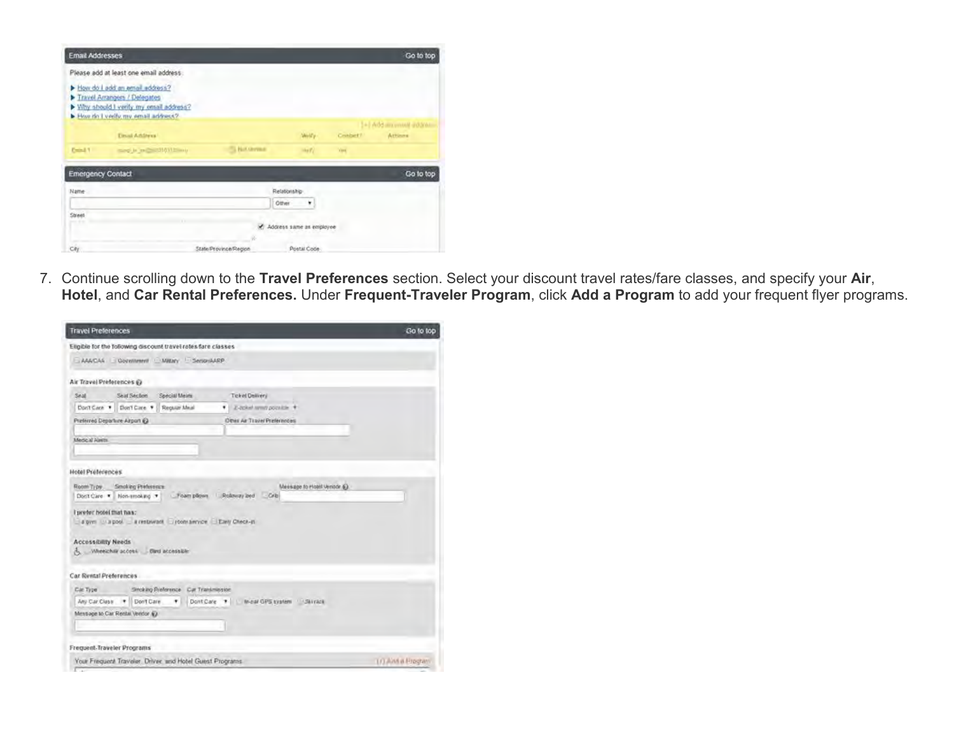| <b>Email Addresses</b>   |                                                                                                                                               |                       |                            |                      | Go to top                            |
|--------------------------|-----------------------------------------------------------------------------------------------------------------------------------------------|-----------------------|----------------------------|----------------------|--------------------------------------|
|                          | Please add at least one email address:                                                                                                        |                       |                            |                      |                                      |
|                          | How do I add an email address?<br>Travel Arrangers / Delegates<br>Why should I verify my email address?<br>Flow do I verify my email address? |                       |                            |                      |                                      |
|                          | Email Additous                                                                                                                                |                       | <b>Melfy</b>               | Crisbel <sup>7</sup> | 1+1 Add an unveil address<br>Actions |
| <b>Dollar</b>            | meg is an middle of them                                                                                                                      | <b>CA Not German</b>  | $\log  T_2 $               | York                 |                                      |
| <b>Emergency Contact</b> |                                                                                                                                               |                       |                            |                      | Go to top                            |
| Name                     |                                                                                                                                               |                       | Relationship<br>Other<br>۰ |                      |                                      |
| Street<br>$-111$         |                                                                                                                                               |                       | C Address same as employee |                      |                                      |
|                          |                                                                                                                                               | v                     |                            |                      |                                      |
| Civ                      |                                                                                                                                               | State/Province/Region | Postal Code                |                      |                                      |

7. Continue scrolling down to the **Travel Preferences** section. Select your discount travel rates/fare classes, and specify your **Air**, **Hotel**, and **Car Rental Preferences.** Under **Frequent-Traveler Program**, click **Add a Program** to add your frequent flyer programs.

| <b>Travel Preferences</b>                                                                                                                                                                                                                         | Go to top         |
|---------------------------------------------------------------------------------------------------------------------------------------------------------------------------------------------------------------------------------------------------|-------------------|
| Eligible for the Tollowing discount travel rates fare classes                                                                                                                                                                                     |                   |
| AAACAA Qovemment Mittey SengriAAPP                                                                                                                                                                                                                |                   |
| Air Travel Preferences @                                                                                                                                                                                                                          |                   |
| Seat.<br>Seat Section<br>Special Meiric<br>Ticket Delivery                                                                                                                                                                                        |                   |
| Don't Case * Don't Care * Requier Meal<br>· E-tokel west pointile *                                                                                                                                                                               |                   |
| Other Air Travel Preferences<br>Preferred Departure Airport (C)                                                                                                                                                                                   |                   |
| <b>Medical Aires</b>                                                                                                                                                                                                                              |                   |
| Hotel Preferences                                                                                                                                                                                                                                 |                   |
| Message to Hoald Ventich (6).<br>Room Type Smoking Preference<br>Doct Care . Non-smoking . Foam plines . Rolloway bed  Crib<br>I prefer hotel that has:<br>a pyrs is a pool a restaurant poon amount Early Check-in<br><b>Accessibility Needs</b> |                   |
| A Wheelchill access  Bird accessible                                                                                                                                                                                                              |                   |
| Car Rental Preferences                                                                                                                                                                                                                            |                   |
| Car Type Sincking Preference Car Transmission                                                                                                                                                                                                     |                   |
|                                                                                                                                                                                                                                                   |                   |
| Mensage to Car Rental Vendor (C)                                                                                                                                                                                                                  |                   |
|                                                                                                                                                                                                                                                   |                   |
| Frequent-Traveler Programs                                                                                                                                                                                                                        |                   |
| Your Frequent Traveler, Driver, and Hotel Guest Programs.                                                                                                                                                                                         | TO Aint a Fregram |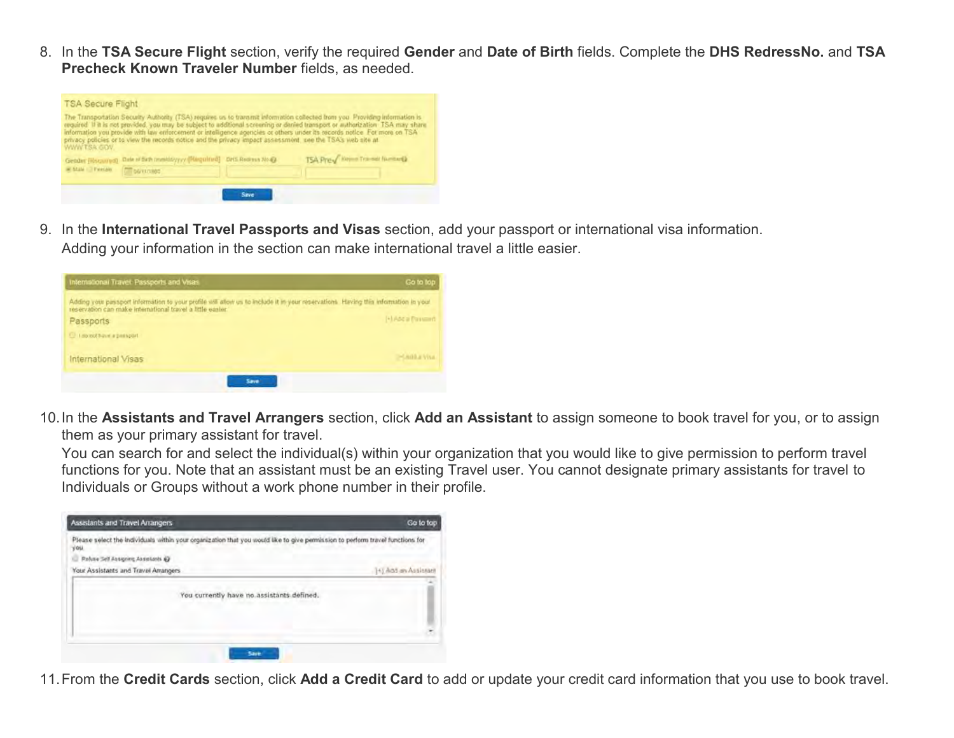8. In the **TSA Secure Flight** section, verify the required **Gender** and **Date of Birth** fields. Complete the **DHS RedressNo.** and **TSA Precheck Known Traveler Number** fields, as needed.



9. In the **International Travel Passports and Visas** section, add your passport or international visa information. Adding your information in the section can make international travel a little easier.

| International Travel: Passports and Visas                                                                                                                                                        | Go to top          |
|--------------------------------------------------------------------------------------------------------------------------------------------------------------------------------------------------|--------------------|
| Adding your passport information to your profile will allow us to include it in your reservations. Having this information in your<br>reservation can make international travel a little easier. |                    |
| Passports                                                                                                                                                                                        | (A) Add a Passment |
| U. Labroothave a peasport                                                                                                                                                                        |                    |
| International Visas                                                                                                                                                                              | <b>DEADLE VILL</b> |
| Save                                                                                                                                                                                             |                    |

10.In the **Assistants and Travel Arrangers** section, click **Add an Assistant** to assign someone to book travel for you, or to assign them as your primary assistant for travel.

You can search for and select the individual(s) within your organization that you would like to give permission to perform travel functions for you. Note that an assistant must be an existing Travel user. You cannot designate primary assistants for travel to Individuals or Groups without a work phone number in their profile.



11.From the **Credit Cards** section, click **Add a Credit Card** to add or update your credit card information that you use to book travel.